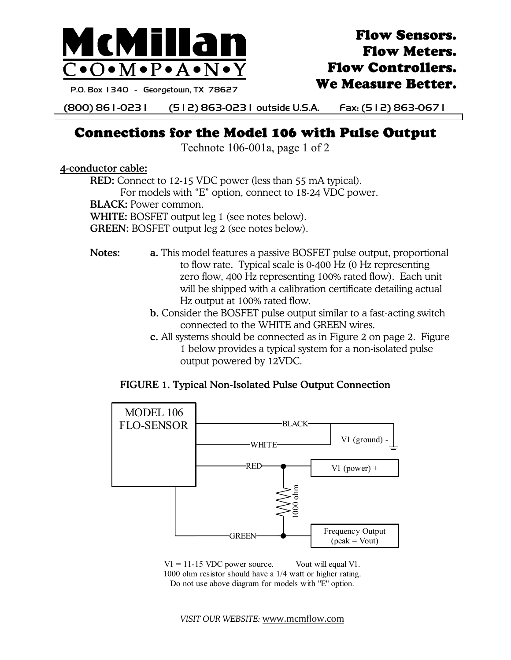

# Flow Sensors. Flow Meters. Flow Controllers. We Measure Better.

P.O. Box 1340 - Georgetown, TX 78627

(800) 861-0231 (512) 863-0231 outside U.S.A. Fax: (512) 863-0671

# Connections for the Model 106 with Pulse Output

Technote 106-001a, page 1 of 2

4-conductor cable:

RED: Connect to 12-15 VDC power (less than 55 mA typical). For models with "E" option, connect to 18-24 VDC power.

BLACK: Power common.

WHITE: BOSFET output leg 1 (see notes below).

GREEN: BOSFET output leg 2 (see notes below).

- Notes: **a.** This model features a passive BOSFET pulse output, proportional to flow rate. Typical scale is 0-400 Hz (0 Hz representing zero flow, 400 Hz representing 100% rated flow). Each unit will be shipped with a calibration certificate detailing actual Hz output at 100% rated flow.
	- b. Consider the BOSFET pulse output similar to a fast-acting switch connected to the WHITE and GREEN wires.
	- c. All systems should be connected as in Figure 2 on page 2. Figure 1 below provides a typical system for a non-isolated pulse output powered by 12VDC.

### FIGURE 1. Typical Non-Isolated Pulse Output Connection



 $V1 = 11-15$  VDC power source. Vout will equal V1. 1000 ohm resistor should have a 1/4 watt or higher rating. Do not use above diagram for models with "E" option.

*VISIT OUR WEBSITE:* www.mcmflow.com